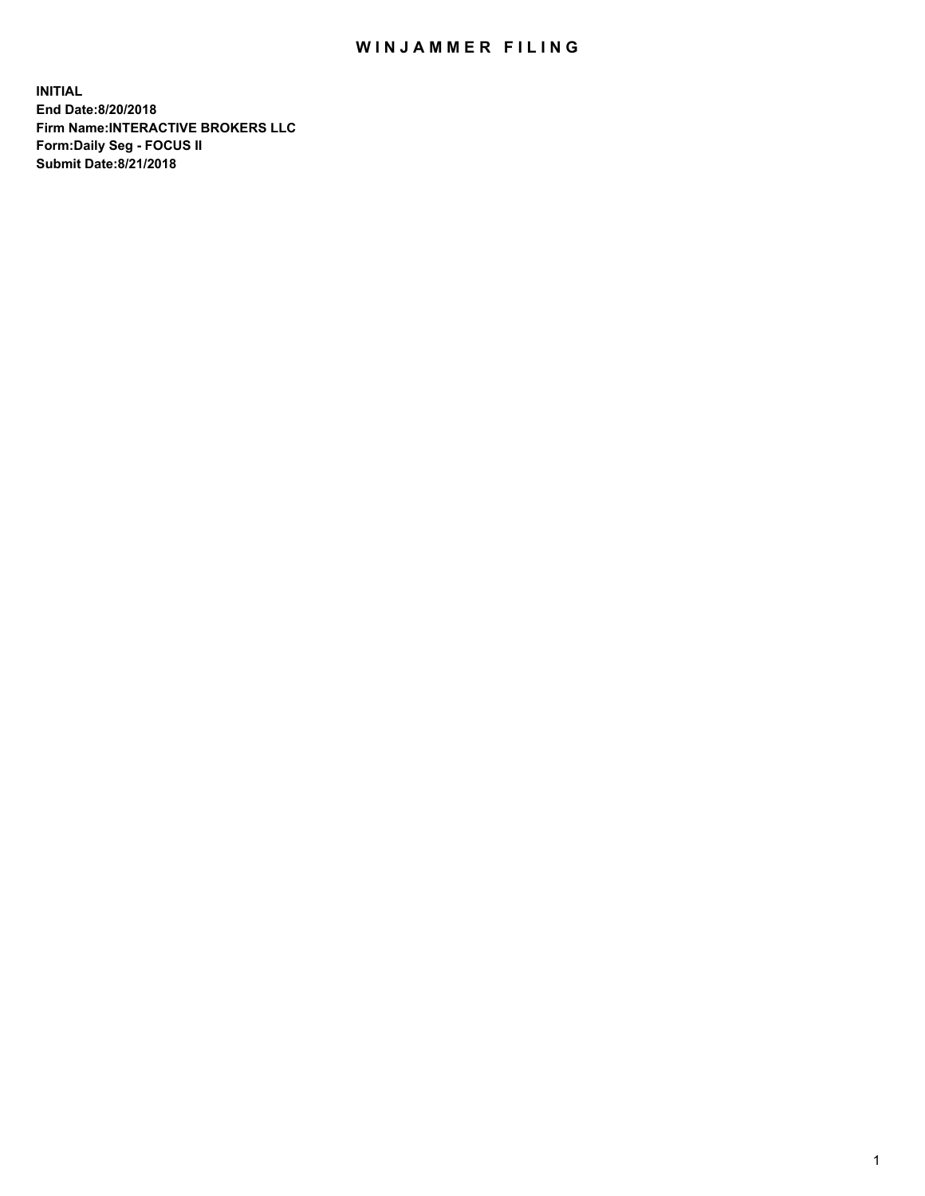## WIN JAMMER FILING

**INITIAL End Date:8/20/2018 Firm Name:INTERACTIVE BROKERS LLC Form:Daily Seg - FOCUS II Submit Date:8/21/2018**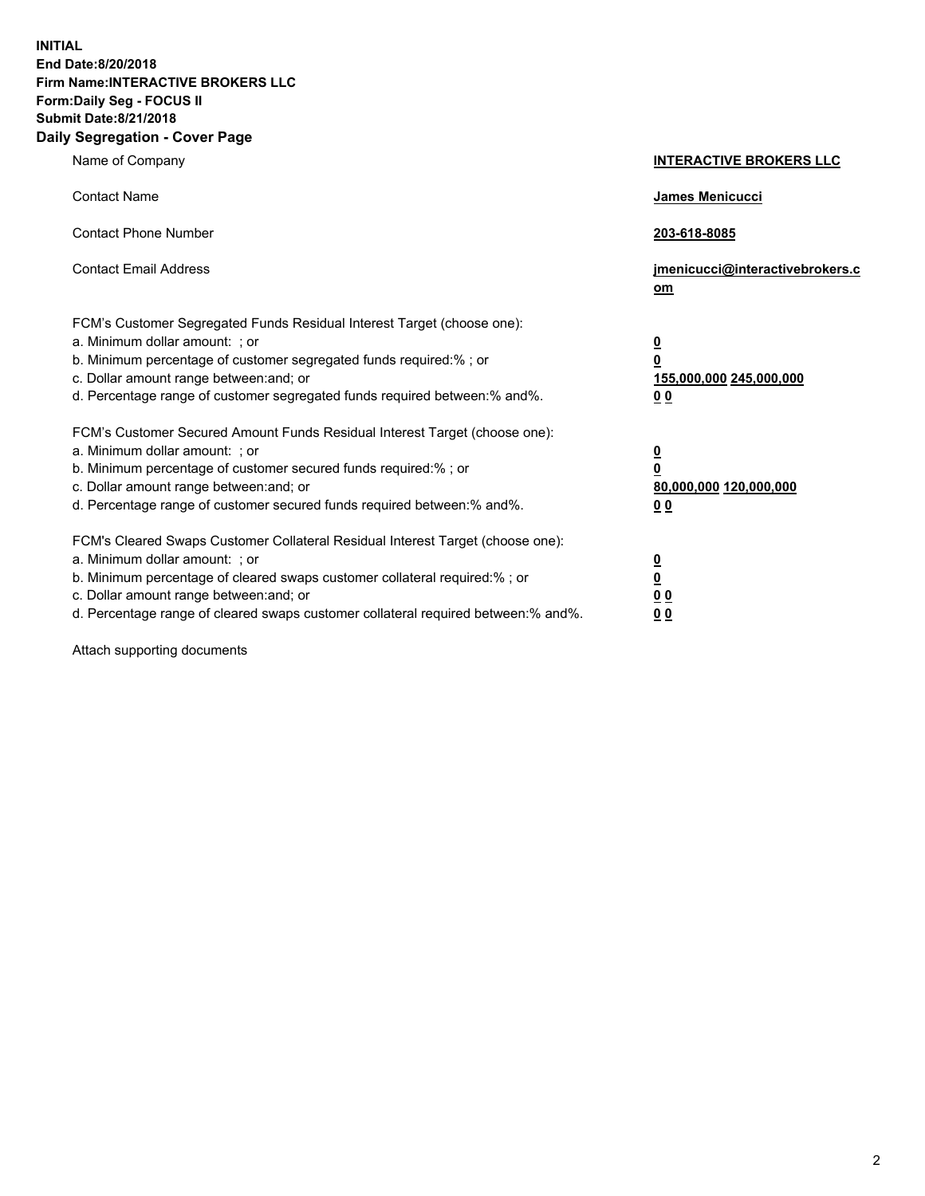**INITIAL End Date:8/20/2018 Firm Name:INTERACTIVE BROKERS LLC Form:Daily Seg - FOCUS II Submit Date:8/21/2018 Daily Segregation - Cover Page**

| Name of Company                                                                                                                                                                                                                                                                                                                | <b>INTERACTIVE BROKERS LLC</b>                                                                  |
|--------------------------------------------------------------------------------------------------------------------------------------------------------------------------------------------------------------------------------------------------------------------------------------------------------------------------------|-------------------------------------------------------------------------------------------------|
| <b>Contact Name</b>                                                                                                                                                                                                                                                                                                            | James Menicucci                                                                                 |
| <b>Contact Phone Number</b>                                                                                                                                                                                                                                                                                                    | 203-618-8085                                                                                    |
| <b>Contact Email Address</b>                                                                                                                                                                                                                                                                                                   | jmenicucci@interactivebrokers.c<br>om                                                           |
| FCM's Customer Segregated Funds Residual Interest Target (choose one):<br>a. Minimum dollar amount: ; or<br>b. Minimum percentage of customer segregated funds required:% ; or<br>c. Dollar amount range between: and; or<br>d. Percentage range of customer segregated funds required between:% and%.                         | $\overline{\mathbf{0}}$<br>$\overline{\mathbf{0}}$<br>155,000,000 245,000,000<br>0 <sub>0</sub> |
| FCM's Customer Secured Amount Funds Residual Interest Target (choose one):<br>a. Minimum dollar amount: ; or<br>b. Minimum percentage of customer secured funds required:% ; or<br>c. Dollar amount range between: and; or<br>d. Percentage range of customer secured funds required between:% and%.                           | $\overline{\mathbf{0}}$<br>0<br>80,000,000 120,000,000<br>0 <sub>0</sub>                        |
| FCM's Cleared Swaps Customer Collateral Residual Interest Target (choose one):<br>a. Minimum dollar amount: ; or<br>b. Minimum percentage of cleared swaps customer collateral required:% ; or<br>c. Dollar amount range between: and; or<br>d. Percentage range of cleared swaps customer collateral required between:% and%. | $\overline{\mathbf{0}}$<br><u>0</u><br>$\underline{0}$ $\underline{0}$<br>00                    |

Attach supporting documents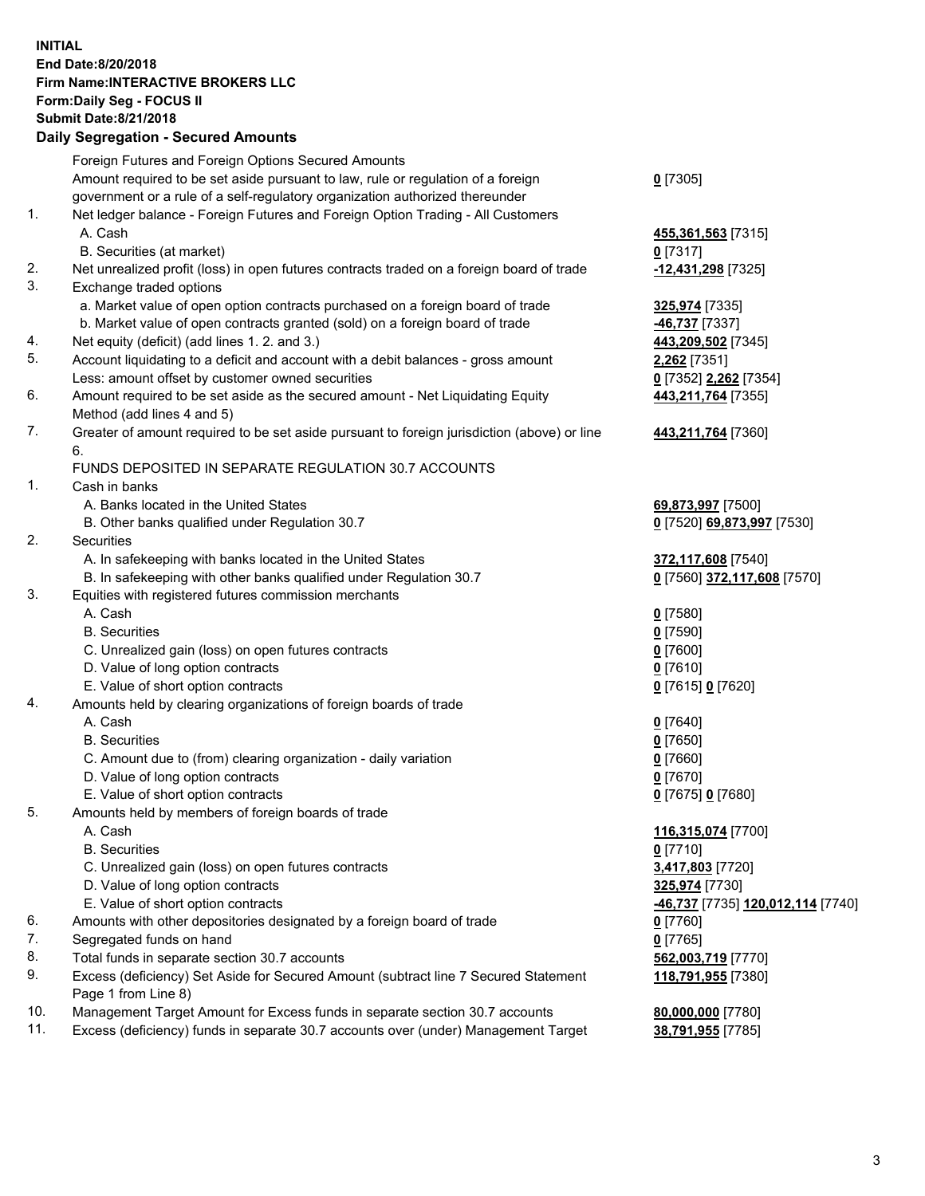## **INITIAL End Date:8/20/2018 Firm Name:INTERACTIVE BROKERS LLC Form:Daily Seg - FOCUS II Submit Date:8/21/2018 Daily Segregation - Secured Amounts**

|     | Dany Ocgregation - oceaned Anioante                                                         |                                                |
|-----|---------------------------------------------------------------------------------------------|------------------------------------------------|
|     | Foreign Futures and Foreign Options Secured Amounts                                         |                                                |
|     | Amount required to be set aside pursuant to law, rule or regulation of a foreign            | $0$ [7305]                                     |
|     | government or a rule of a self-regulatory organization authorized thereunder                |                                                |
| 1.  | Net ledger balance - Foreign Futures and Foreign Option Trading - All Customers             |                                                |
|     | A. Cash                                                                                     | 455,361,563 [7315]                             |
|     | B. Securities (at market)                                                                   | $0$ [7317]                                     |
| 2.  | Net unrealized profit (loss) in open futures contracts traded on a foreign board of trade   | 12,431,298 [7325]                              |
| 3.  | Exchange traded options                                                                     |                                                |
|     | a. Market value of open option contracts purchased on a foreign board of trade              | 325,974 [7335]                                 |
|     | b. Market value of open contracts granted (sold) on a foreign board of trade                | 46,737 [7337]                                  |
| 4.  | Net equity (deficit) (add lines 1.2. and 3.)                                                | 443,209,502 [7345]                             |
| 5.  | Account liquidating to a deficit and account with a debit balances - gross amount           | 2,262 [7351]                                   |
|     | Less: amount offset by customer owned securities                                            | 0 [7352] 2,262 [7354]                          |
| 6.  | Amount required to be set aside as the secured amount - Net Liquidating Equity              | 443,211,764 [7355]                             |
|     | Method (add lines 4 and 5)                                                                  |                                                |
| 7.  | Greater of amount required to be set aside pursuant to foreign jurisdiction (above) or line | 443,211,764 [7360]                             |
|     | 6.                                                                                          |                                                |
|     | FUNDS DEPOSITED IN SEPARATE REGULATION 30.7 ACCOUNTS                                        |                                                |
| 1.  | Cash in banks                                                                               |                                                |
|     | A. Banks located in the United States                                                       | 69,873,997 [7500]                              |
|     | B. Other banks qualified under Regulation 30.7                                              | 0 [7520] 69,873,997 [7530]                     |
| 2.  | Securities                                                                                  |                                                |
|     | A. In safekeeping with banks located in the United States                                   | 372,117,608 [7540]                             |
|     | B. In safekeeping with other banks qualified under Regulation 30.7                          | 0 [7560] 372,117,608 [7570]                    |
| 3.  | Equities with registered futures commission merchants                                       |                                                |
|     | A. Cash                                                                                     | $0$ [7580]                                     |
|     | <b>B.</b> Securities                                                                        | $0$ [7590]                                     |
|     | C. Unrealized gain (loss) on open futures contracts                                         | $0$ [7600]                                     |
|     | D. Value of long option contracts                                                           | $0$ [7610]                                     |
|     | E. Value of short option contracts                                                          | 0 [7615] 0 [7620]                              |
| 4.  | Amounts held by clearing organizations of foreign boards of trade                           |                                                |
|     | A. Cash                                                                                     | $0$ [7640]                                     |
|     | <b>B.</b> Securities                                                                        | $0$ [7650]                                     |
|     | C. Amount due to (from) clearing organization - daily variation                             | $0$ [7660]                                     |
|     | D. Value of long option contracts                                                           | $0$ [7670]                                     |
|     | E. Value of short option contracts                                                          | 0 [7675] 0 [7680]                              |
| 5.  | Amounts held by members of foreign boards of trade                                          |                                                |
|     | A. Cash                                                                                     | 116,315,074 [7700]                             |
|     | <b>B.</b> Securities                                                                        | $0$ [7710]                                     |
|     | C. Unrealized gain (loss) on open futures contracts                                         | 3,417,803 [7720]                               |
|     | D. Value of long option contracts                                                           | 325,974 [7730]                                 |
|     | E. Value of short option contracts                                                          | <mark>-46,737</mark> [7735] 120,012,114 [7740] |
| 6.  | Amounts with other depositories designated by a foreign board of trade                      | $0$ [7760]                                     |
| 7.  | Segregated funds on hand                                                                    | $0$ [7765]                                     |
| 8.  | Total funds in separate section 30.7 accounts                                               | 562,003,719 [7770]                             |
| 9.  | Excess (deficiency) Set Aside for Secured Amount (subtract line 7 Secured Statement         | 118,791,955 [7380]                             |
|     | Page 1 from Line 8)                                                                         |                                                |
| 10. | Management Target Amount for Excess funds in separate section 30.7 accounts                 | 80,000,000 [7780]                              |
| 11. | Excess (deficiency) funds in separate 30.7 accounts over (under) Management Target          | <mark>38,791,955</mark> [7785]                 |
|     |                                                                                             |                                                |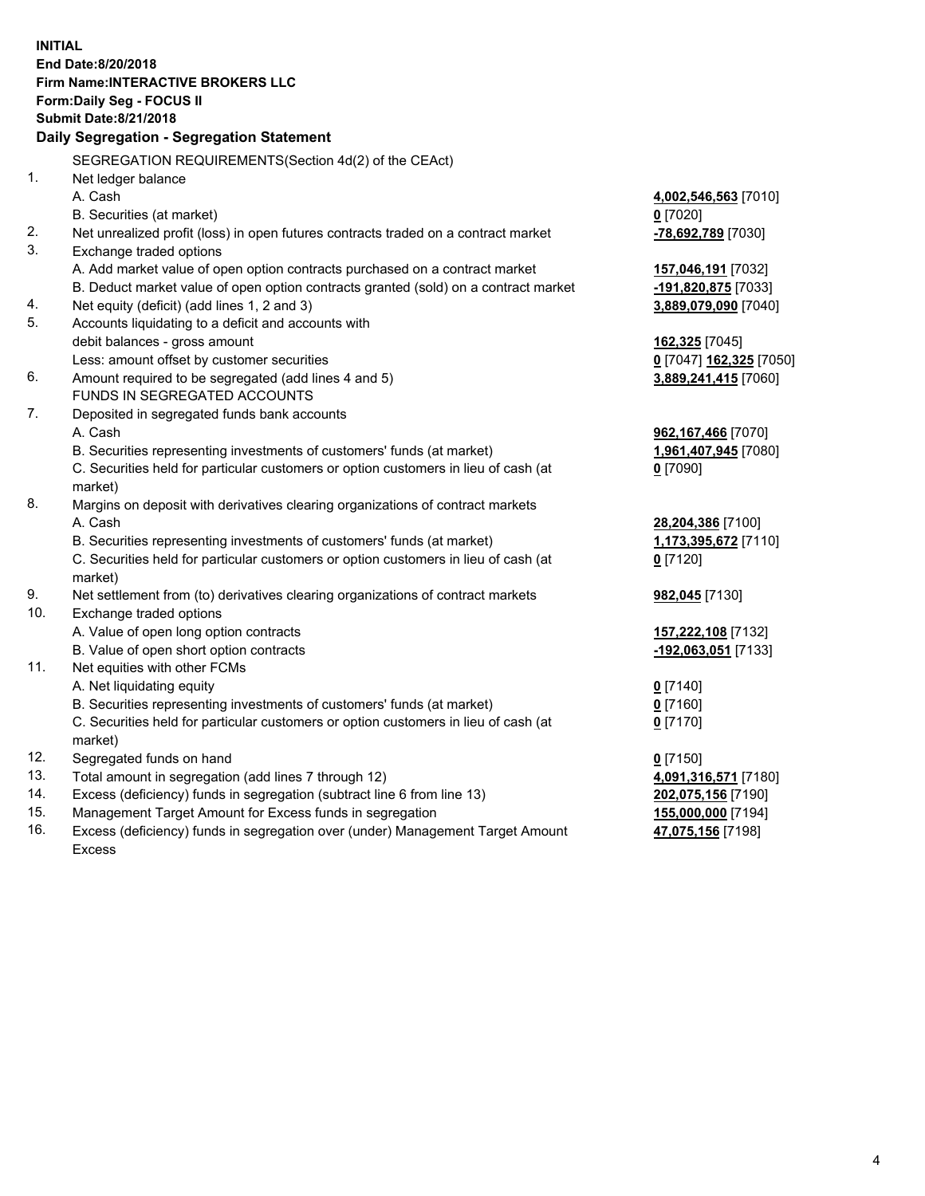**INITIAL End Date:8/20/2018 Firm Name:INTERACTIVE BROKERS LLC Form:Daily Seg - FOCUS II Submit Date:8/21/2018 Daily Segregation - Segregation Statement** SEGREGATION REQUIREMENTS(Section 4d(2) of the CEAct) 1. Net ledger balance A. Cash **4,002,546,563** [7010] B. Securities (at market) **0** [7020] 2. Net unrealized profit (loss) in open futures contracts traded on a contract market **-78,692,789** [7030] 3. Exchange traded options A. Add market value of open option contracts purchased on a contract market **157,046,191** [7032] B. Deduct market value of open option contracts granted (sold) on a contract market **-191,820,875** [7033] 4. Net equity (deficit) (add lines 1, 2 and 3) **3,889,079,090** [7040] 5. Accounts liquidating to a deficit and accounts with debit balances - gross amount **162,325** [7045] Less: amount offset by customer securities **0** [7047] **162,325** [7050] 6. Amount required to be segregated (add lines 4 and 5) **3,889,241,415** [7060] FUNDS IN SEGREGATED ACCOUNTS 7. Deposited in segregated funds bank accounts A. Cash **962,167,466** [7070] B. Securities representing investments of customers' funds (at market) **1,961,407,945** [7080] C. Securities held for particular customers or option customers in lieu of cash (at market) **0** [7090] 8. Margins on deposit with derivatives clearing organizations of contract markets A. Cash **28,204,386** [7100] B. Securities representing investments of customers' funds (at market) **1,173,395,672** [7110] C. Securities held for particular customers or option customers in lieu of cash (at market) **0** [7120] 9. Net settlement from (to) derivatives clearing organizations of contract markets **982,045** [7130] 10. Exchange traded options A. Value of open long option contracts **157,222,108** [7132] B. Value of open short option contracts **-192,063,051** [7133] 11. Net equities with other FCMs A. Net liquidating equity **0** [7140] B. Securities representing investments of customers' funds (at market) **0** [7160] C. Securities held for particular customers or option customers in lieu of cash (at market) **0** [7170] 12. Segregated funds on hand **0** [7150] 13. Total amount in segregation (add lines 7 through 12) **4,091,316,571** [7180] 14. Excess (deficiency) funds in segregation (subtract line 6 from line 13) **202,075,156** [7190] 15. Management Target Amount for Excess funds in segregation **155,000,000** [7194] 16. Excess (deficiency) funds in segregation over (under) Management Target Amount **47,075,156** [7198]

Excess